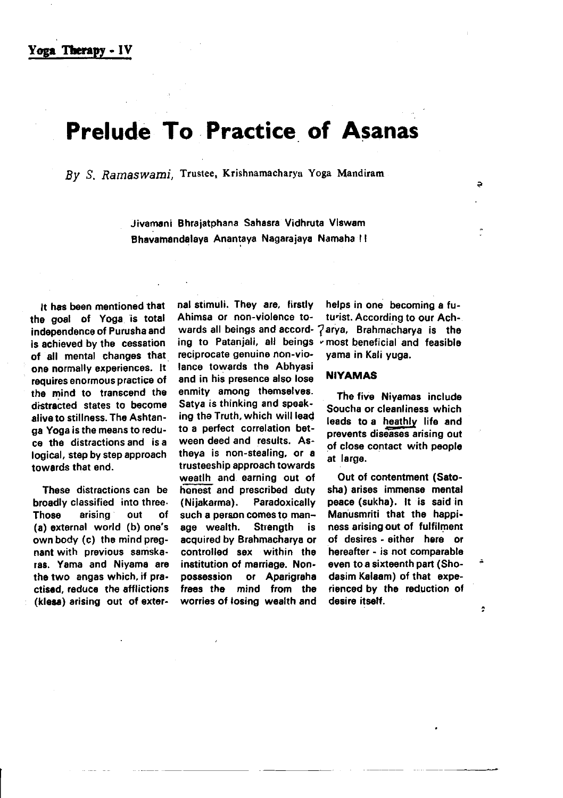# Prelude To Practice of Asanas

By S, Ramaswami, Trustee, Krishnamacharya Yoga Mandiram

Jivamani Bhraiatphana Sahasra Vidhrura Vlgwam Bhavamandalaya Anantaya Nagarajaya Namaha !!

It has been mentioned that the goal of Yoga is total independence of Purusha and is achieved by the cessation of all mental changes that one normally experiences. lt requires enormous practice of the mind to transcend tho distracted states to become alive to stillness. The Ashtanga Yoga is the mesns to reduce the distractions and is a logical, srep by step approach towerds that end.

These distractions can be broadly classified into three.<br>Those arising out of arising (a) external world (b) one's own body (c) the mind pregnant with previous samskaras. Yama and Niyama ara tho two angas which, if practised, reduce the afflictions (kless) arising out of exter-

reciprocate genuine non-violance towards the Abhyasi and in his presence also lose enmity among thomselves. Satya is thinking and spoaking the Truth, which will lead to a perfect correlation between deed and results. Astheya is non-stealing, or a trusteeship approach towards weatlh and. earning out of hanest and prescribed duty (Nijakarma). Paradoxically such a person comes to manage wealth. Strength is acquired by Brahmacharya or controlled sex within the institution of marriage. Nonpossession or Aparigraha fraas the mind from the worries of losing wealth and

nal stimuli. They are, firstly helps in one becoming a fu-<br>Ahimsa or non-violence to- turist. According to our Achturist. According to our Achwards all beings and accord-  $7$ arya, Brahmacharya is the ing to Patanjali, all beings «most beneficial and feasible reciprocate genuine non-vio-<br>reciprocate genuine non-vio-<br>yama in Kali vuoa.

### NIYAMAS

The five Niyamas include Soucha or cleanliness which lesds to a heathly life and prevents diseases arising out of close contact with people at large.

Out of contentment (Satosha) arises immense mental peace (sukha). lt is said in Manusmriti that the happiness arising out of fulfilment of desires - sithor here or hereafter - is not comparabla even to a sixtoenth part (Shodasim Kalaam) of that experienced by the reduction of desire itseff.

 $\ddot{\phantom{0}}$ 

Þ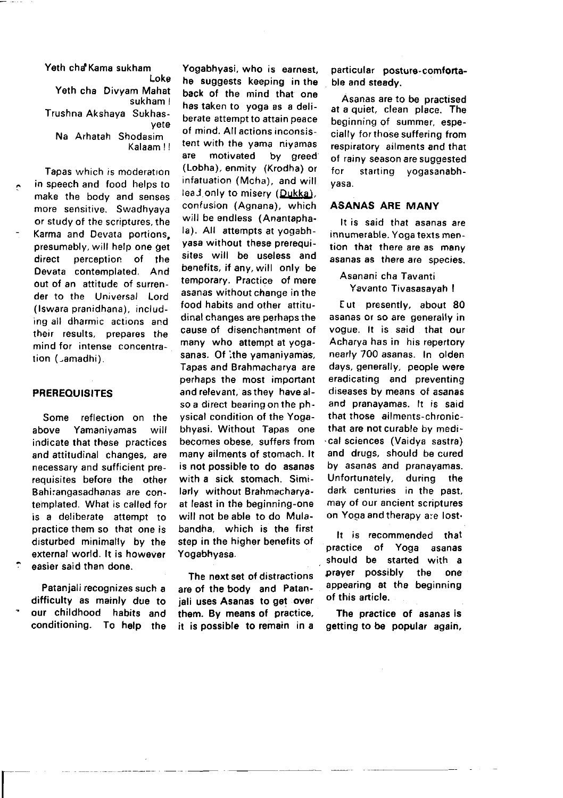Yeth cha Kama sukham Loke Yeth cha Divyam Mahat sukham ! Trushna Akshaya Sukhasyete Na Arhatah Shodasim Kalaam !!

Tapas which is moderation in speech and food helps to make the body and senses more sensitive. Swadhyaya or study of the scriptures, the Karma and Devata portions, presumably, will help one get direct perception of the Devata contemolated. And out of an attitude of surrender to the Universal Lord (lswara pranidhana), including all dharmic actions and their results, prepares the mind for intense COncentration (Lamadhi).

#### PREREOUISITES

Some reflection on the above Yamaniyamas will indicate that these practices and attitudinal changes, are necessary and sufficient prerequisites before the other Bahirangasadhanas are contemplated. What is called for is a deliberate attempt to practice them so that one is disturbed minimally by the external world. lt is however easier said than done.

Patanjali recognizes such a difficulty as mainly due to our childhood habits and conditioning. To help the

 $\overline{\phantom{a}}$ 

Yogabhyasi, who is earnest, he suggests keeping in the back of the mind that one has taken to yoga as a deliberate attempt to attain peace of mind. Allactions inconsistent with the yama niyamas are motivated by greed (Lobha), enmity (Krodha) or infatuation (Mcha), and will leaJ.only to misery (Dukka), confusion (Agnana), which will be endless (Anantaphala). All attempts at yogabhyasa without these prerequisites will be useless and benefits, if any, will only be temporary. Practice of mere asanas without change in the food habits and other attitudinal changes are perhaps the cause of disenchantment of many who attempt at yogasanas. Of ithe yamaniyamas, Tapas and Brahmacharya are perhaps the most important and relevant, as they have also a direct bearing on the physical condition of the Yogabhyasi. Without Tapas one becomes obese, suffers from many ailments of stomach. lt is not possible to do asanas with a sick stomach. Similarly without Brahmacharyaat least in the beginning-one will not be able to do Mulabandha. which is the first step in the higher benefits of Yogabhyasa.

The next set of distractions are of the body and Patanjali uses Asanas to get over them. By means of practice, it is possible to remain in a particular posture-comfortable and steady.

Asanas are to be practised at a quiet, clean place. The beginning of summer, especially for those suffering from respiratory ailments and that of rainy season are suggested fcr starting yogasanabhyasa.

## ASANAS ARE MANY

It is said that asanas are innumerable. Yoga texts mention that there are as many asanas as there are species.

Asanani cha Tavanti Yavanto Tivasasayah I

E ut presently, about 80 asanas or so are generally in vogue. lt is said that our Acharya has in his repertory nearly 700 asanas. In olden days, generally, people were eradicating and preventing diseases by means of asanas and pranayamas. lt is said that those ailments-chronicthat are not curable bv medi- .cal sciences (Vaidya sastra) and drugs, should be cured by asanas and pranayamas. Unfortunately, during the dark centuries in the past, may of our ancient scriptures on Yoga and therapy are lost.

It is recommended that practice of Yoga asanas should be started with a prayer possibly the one appearing at the beginning of this article.

The practice of asanas is getting to be popular again,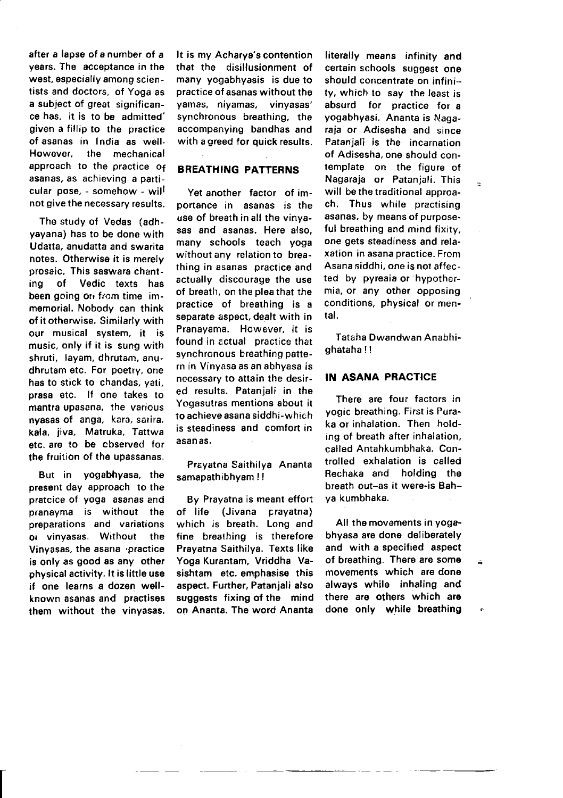after a lapse of a number of a vears. The acceptance in the west, especially among scientists and doctors, of Yoga as a subject of great significance has. it is to be admitted' given a fillip to the practice of asanas in India as well.<br>However, the mechanical the mechanical approach to the practice of asanas, as achieving a particular pose, - somehow - will not give the necessary results.

The study of Vedas (adhyayana) has to be done with Udatta, anudatta and swarita notes. Otherwise it is merely prosaic, This saswara chanting of Vedic texts has been going on from time immemorial. Nobody can think of it otherwise. Similarly with our musical system, it is music, only if it is sung with shruti, layam, dhrutam, anudhrutam etc. For poetry, one has to stick to chandas, yati, prasa etc. lf one takes to mantra upasena, the various nyasas of anga, kara, sarira, kala, iiva, Matruka, Tattwa etc. are to be cbserved for the fruition of the upassanas.

But in yogabhyasa, the present day approach to the pratcice of yoga asanas and pranayma is without the preparations and variations ot vinvasas. Without the Vinyasas, the asana 'practice is only as good as any other physical activity. lt is little use if one learns a dozen wellknown asanas and practises them without the vinyasas. It is my Acharya's contention that the disillusionment of many yogabhyasis is due to practice of asanas without the yamas, niyamas, vinyasas' synchronous breathing, the accompanying bandhas and with a greed for quick results.

# BREATHING PATTERNS

Yet another factor of importance in asanas is the use of breath in all the vinyasas and asanas. Here also, many schools teach yoga without any relation to breathing in asanas practice and actually discourage the use of breath, on the plea that the practice of bteathing is a separate aspect, dealt with in Pranayama. However, it is found in ectual practice that synchronous breathing pattern in Vinyasa as an abhyasa is necessary to attain the desired results. Patanjali in the Yogasutras mentions about it to achieve asana siddhi-which is steadiness and comfort in asan as.

Preyatna Saithilya Ananta samapathibhyam | !

By Prayatna is meant effort of life (Jivana cravatna) which is breath. Long and fine breathing is therefore Pravatna Saithilya. Texts like Yoga Kurantam, Vriddha Vasishtam etc. emphasise this aspect. Further, Patanjali also suggests fixing of the mind on Ananta. The word Ananta

literally means infinity and certain schools suggest one should concentrate on infinity, which to say the least is absurd for practice for a yogabhyasi. Ananta is Nagaraja or Adisesha and since Patanjali is the incarnation of Adisesha, one shoutd contemplate on the figure of Nagaraja or Patanjali. This will be the traditional approach. Thus while practising asanas, by means of purposeful breathing and mind fixity. one gets steadiness and relaxation in asana practice. From Asana siddhi, one is not affected by pyreaia or hypothermia, or any other opposing conditions, physical or mental.

 $\overline{\phantom{a}}$ 

Tataha Dwandwan Anabhighataha I !

# IN ASANA PRACTICE

There are four factors in yogic breathing. First is Puraka or inhalation. Then holding of breath after inhalation. called Antahkumbhaka. Controlled exhalation is called Rechaka and holding the breath out-as it were-is Bahya kumbhaka.

All the movements in yogabhyasa are done deliberately and with a specified aspect of breathing. There are some movements which are done always while inhaling and there are others which are done only while breathing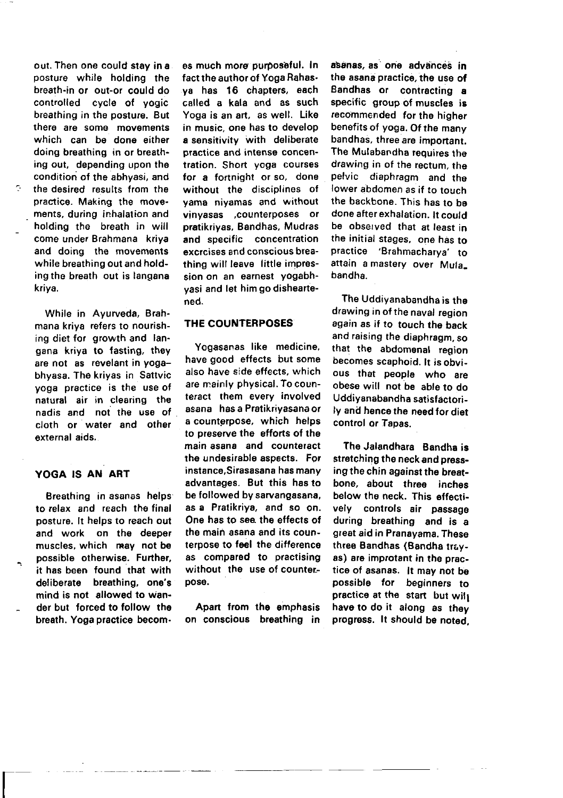out. Then one could stay in a posture while holding the breath-in or out-or could do controlled cycle of yogic breathing in the posture. But there are some movements which can be done either doing breathing in or breathing out, depending upon the condition of the abhyasi, and the desired results from the pfactice. Making the movements, during inhalation and holding the breath in will come under Brahmana kriya and doing the movements while breathing out and holding the breath out is langana kriya.

While in Ayurveda, Brahmana kriya refers to nourishing diet for growth and langana kriya to fasting, they are not as revelant in yogabhyasa. The kriyas in Sattvic yoga practice is the use of natural air in clearing the nadis and not the use of cloth or water and other external aids.

### YOGA IS AN ART

 $\overline{\Gamma}$ 

Breathing in asanas helps to relax and reach the final posture. lt helps to reach out and work on the deeper muscles, which may not be possible otherwise. Further, it has been found that with deliberate breathing, one's mind is not allowed to wander but forced to tollow the breath. Yoga practice becom.

es much more purposeful. In fact the author of Yoga Rahasya has 16 chapters, each called a kala and as such Yoga is an art, as well. Like in music, one has to develop a sensitivity with deliberate prsctice and intense concentration. Short yoga courses for a fortnight or so, done without the disciplines of yama niyamas and without vinyasas ,counterposes or pratikriyas, Bandhas, Mudras and specific concentration excrcises and conscious breathing will leave little impression on an earnest yogabhyasi and let himgodisheartened.

## THE COUNTERPOSES

Yogasanas like medicine. have good effects but some also have side effects, which are mainly physical. To counteract them every involved asana hasa Pratikriyasanaor a counterpose, which helps to preserve the efforts of the main asana and counteract the undesirable aspects. For instance,Sirasasana has many advantages. But this has to be followed by sarvangasana, as a Pratikriya, and so on. One has to see the effects of the main asana and its counterpose to feel the difference as compared to practising without the use of counterposo.

Apart from the emphasis on conscious breathing in asanas, as one advances in the asana practice, the use of Bandhas or contracting a specific group of muscles is recommended for the higher benefits of yoga. Of the many bandhas, three are importani, The Mulabandha requires the drawing in of the rectum, the pelvic diaphragm and the lower abdomen as if to touch the backbone. This has to be done after exhalation. lt could be observed that at least in the initial stages, one has ro practice'Brahmacharya' ro attain a mastery over Mulabandha.

The Uddiyanabandha is the drawing in of the naval region again as if to touch the back and raising the diaphragm, so that the abdomenal region becomes scaphoid. It is obvious that people who are obese will not be able to do Uddivanabandha satisfactorily and hence the need for diet control or Tapas.

The Jalandhare Bandha is stretching the neck and pressing the chin against the breatbone, about three inches below the neck. This effectively controls air passage during breathing and is a great aid in Pranayama. These three Bandhas (Bandha trayas) are improtant in the practice of asanas. lt may not be possible for beginners to practice at the start but will have to do it along as they progress. It should be noted.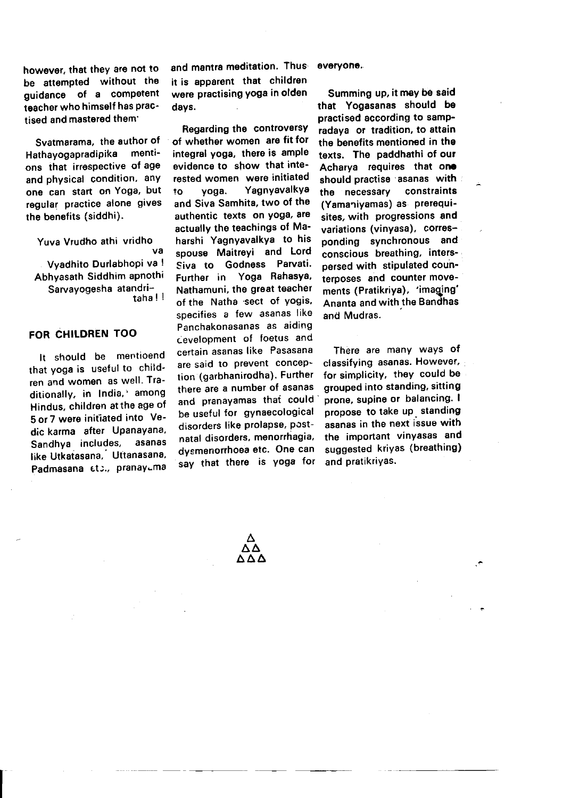however, that they are not to be attempted without the quidance of a competent teacher who himself has practised and masterod them'

Svatmarama, the author of<br>athavogapradinika menti-Hathayogapradipika ons that irrespective of age and physical condition, anY one can start on Yoga, but regular practice alone gives the benefits (siddhi).

Yuva Vrudho athi vridho va Vyadhito Durlabhopi va ! Abhyasath Siddhim apnothi Sarvayogesha atandritaha ! I

# FOR CHILDREN TOO

It should be mentioend that yoga is useful to children and women as well. Traditionally, in India,' among Hindus, children at the age of 5 or 7 were initiated into Vedic karma after Upanayana, Sandhya includes, asanas like Utkaiasana,' Utianasana, Padmasana 6to., pranayuma

and mantra meditation. Thus it is apparent that children were practising yoga in olden days.

Regarding tho controversy of whether women are fit for integral yoga, there is ample evidence to show that interested women were initiated to yoga. Yagnyavalkya and Siva Samhita, two of the authentic texts on Yog8, are actually the teachings of Maharshi Yagnyavalkya to his spouse Maitreyi and Lord Siva to Godness Parvati. Further in Yoga RahasYa, Nathamuni, the great teacher of the Natha sect of vogis. specifies a few asanas like Panchakonasanas as aiding cevelopment of foetus and certain asanas like Pasasana are said to prevent conception (garbhanirodha). Further there are a number of asanas and pranayamas that could be useful for gYnaecological disorders like prolapse, postnatal disorders, menorrhagia, dysmenorrhoea etc. One can say that there is yoga for

#### everyone.

Summing up, it may be said that Yogasanas should be practised according to sampradaya or tradition, to attain the benefits mentioned in the texts. Tho paddhathi of our Acharya requires that one should practise asanas with<br>the necessary constraints the necessary (Yamaniyamas) as prerequisites, with progressions and variations (vinyasa), corresponding synchronous and conscious breathing. inters' persed with stipulated coun' terposes and counter movements (Pratikriya), 'imaging' Ananta and with the Bandhas and Mudras.

There are many ways of classifying asanas. Howevef, for simplicity, they could be grouped into standing, sitting prone, supine or balancing. I propose to take up standing asanas in the next issue with the important vinYasas and suggested kriyas (breathing) and pratikrivas.